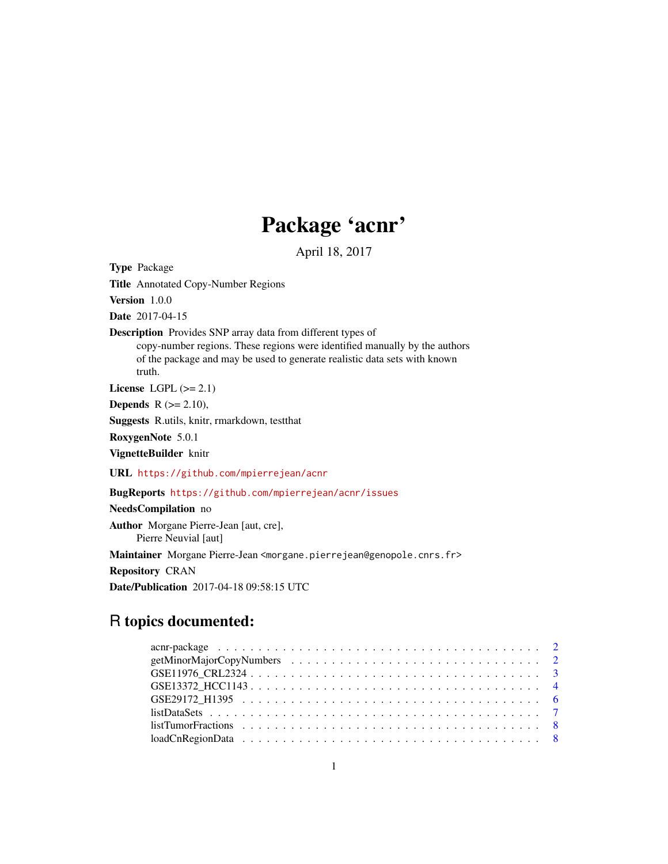# Package 'acnr'

April 18, 2017

Type Package

Title Annotated Copy-Number Regions

Version 1.0.0

Date 2017-04-15

Description Provides SNP array data from different types of

copy-number regions. These regions were identified manually by the authors of the package and may be used to generate realistic data sets with known truth.

License LGPL  $(>= 2.1)$ 

**Depends**  $R$  ( $>= 2.10$ ),

Suggests R.utils, knitr, rmarkdown, testthat

RoxygenNote 5.0.1

VignetteBuilder knitr

URL <https://github.com/mpierrejean/acnr>

# BugReports <https://github.com/mpierrejean/acnr/issues>

# NeedsCompilation no

Author Morgane Pierre-Jean [aut, cre], Pierre Neuvial [aut] Maintainer Morgane Pierre-Jean <morgane.pierrejean@genopole.cnrs.fr> Repository CRAN Date/Publication 2017-04-18 09:58:15 UTC

# R topics documented: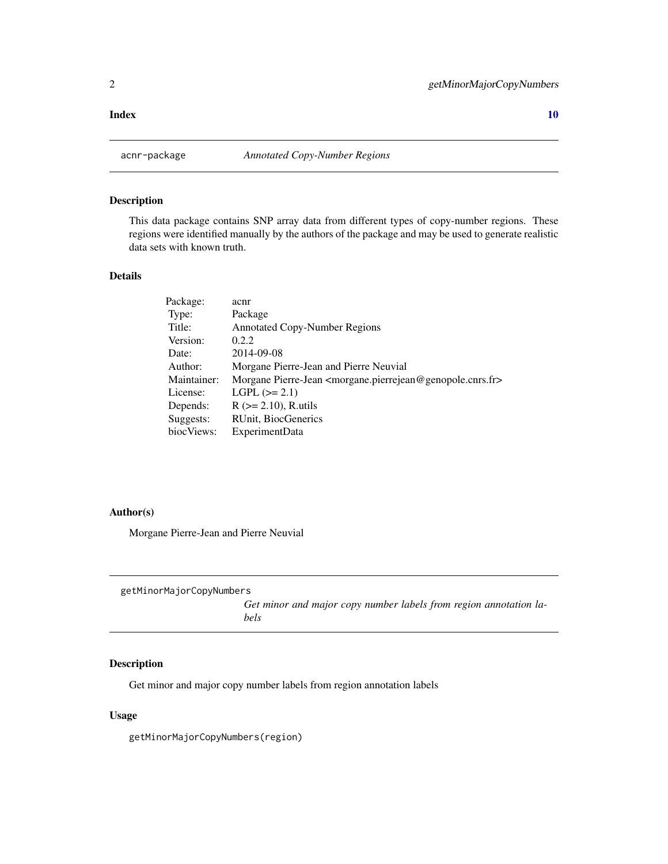#### <span id="page-1-0"></span> $\blacksquare$

# Description

This data package contains SNP array data from different types of copy-number regions. These regions were identified manually by the authors of the package and may be used to generate realistic data sets with known truth.

# Details

| Package:    | acnr                                                                                            |
|-------------|-------------------------------------------------------------------------------------------------|
| Type:       | Package                                                                                         |
| Title:      | <b>Annotated Copy-Number Regions</b>                                                            |
| Version:    | 0.2.2                                                                                           |
| Date:       | 2014-09-08                                                                                      |
| Author:     | Morgane Pierre-Jean and Pierre Neuvial                                                          |
| Maintainer: | Morgane Pierre-Jean <morgane.pierrejean@genopole.cnrs.fr></morgane.pierrejean@genopole.cnrs.fr> |
| License:    | $LGPL (=2.1)$                                                                                   |
| Depends:    | $R$ ( $>= 2.10$ ), R.utils                                                                      |
| Suggests:   | RUnit, BiocGenerics                                                                             |
| biocViews:  | ExperimentData                                                                                  |

### Author(s)

Morgane Pierre-Jean and Pierre Neuvial

| getMinorMajorCopyNumbers |  |
|--------------------------|--|
|--------------------------|--|

*Get minor and major copy number labels from region annotation labels*

# Description

Get minor and major copy number labels from region annotation labels

# Usage

getMinorMajorCopyNumbers(region)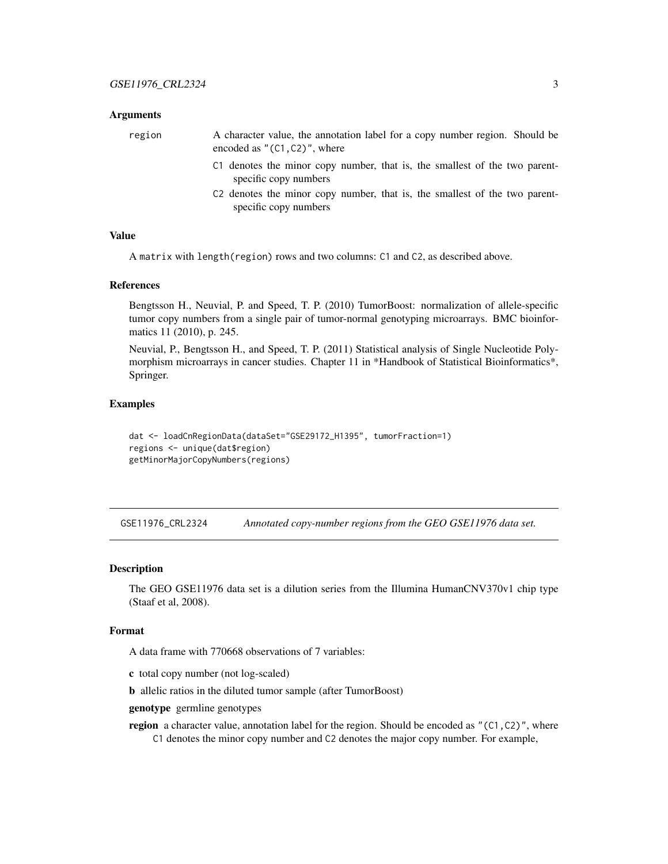#### <span id="page-2-0"></span>Arguments

region A character value, the annotation label for a copy number region. Should be encoded as  $"$ (C1,C2)", where

- C1 denotes the minor copy number, that is, the smallest of the two parentspecific copy numbers
- C2 denotes the minor copy number, that is, the smallest of the two parentspecific copy numbers

#### Value

A matrix with length(region) rows and two columns: C1 and C2, as described above.

#### References

Bengtsson H., Neuvial, P. and Speed, T. P. (2010) TumorBoost: normalization of allele-specific tumor copy numbers from a single pair of tumor-normal genotyping microarrays. BMC bioinformatics 11 (2010), p. 245.

Neuvial, P., Bengtsson H., and Speed, T. P. (2011) Statistical analysis of Single Nucleotide Polymorphism microarrays in cancer studies. Chapter 11 in \*Handbook of Statistical Bioinformatics\*, Springer.

#### Examples

dat <- loadCnRegionData(dataSet="GSE29172\_H1395", tumorFraction=1) regions <- unique(dat\$region) getMinorMajorCopyNumbers(regions)

<span id="page-2-1"></span>GSE11976\_CRL2324 *Annotated copy-number regions from the GEO GSE11976 data set.*

#### Description

The GEO GSE11976 data set is a dilution series from the Illumina HumanCNV370v1 chip type (Staaf et al, 2008).

### Format

A data frame with 770668 observations of 7 variables:

c total copy number (not log-scaled)

b allelic ratios in the diluted tumor sample (after TumorBoost)

genotype germline genotypes

**region** a character value, annotation label for the region. Should be encoded as " $(C1, C2)$ ", where C1 denotes the minor copy number and C2 denotes the major copy number. For example,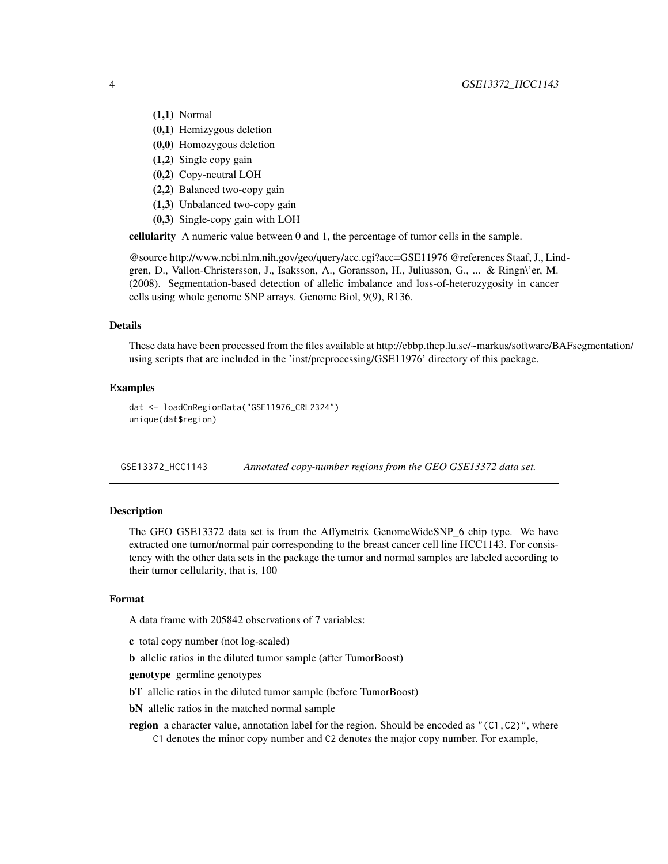# <span id="page-3-0"></span>4 GSE13372\_HCC1143

- (1,1) Normal
- (0,1) Hemizygous deletion
- (0,0) Homozygous deletion
- (1,2) Single copy gain
- (0,2) Copy-neutral LOH
- (2,2) Balanced two-copy gain
- (1,3) Unbalanced two-copy gain
- (0,3) Single-copy gain with LOH

cellularity A numeric value between 0 and 1, the percentage of tumor cells in the sample.

@source http://www.ncbi.nlm.nih.gov/geo/query/acc.cgi?acc=GSE11976 @references Staaf, J., Lindgren, D., Vallon-Christersson, J., Isaksson, A., Goransson, H., Juliusson, G., ... & Ringn\'er, M. (2008). Segmentation-based detection of allelic imbalance and loss-of-heterozygosity in cancer cells using whole genome SNP arrays. Genome Biol, 9(9), R136.

#### Details

These data have been processed from the files available at http://cbbp.thep.lu.se/~markus/software/BAFsegmentation/ using scripts that are included in the 'inst/preprocessing/GSE11976' directory of this package.

#### Examples

```
dat <- loadCnRegionData("GSE11976_CRL2324")
unique(dat$region)
```
<span id="page-3-1"></span>GSE13372\_HCC1143 *Annotated copy-number regions from the GEO GSE13372 data set.*

# **Description**

The GEO GSE13372 data set is from the Affymetrix GenomeWideSNP\_6 chip type. We have extracted one tumor/normal pair corresponding to the breast cancer cell line HCC1143. For consistency with the other data sets in the package the tumor and normal samples are labeled according to their tumor cellularity, that is, 100

# Format

A data frame with 205842 observations of 7 variables:

- c total copy number (not log-scaled)
- b allelic ratios in the diluted tumor sample (after TumorBoost)

genotype germline genotypes

- bT allelic ratios in the diluted tumor sample (before TumorBoost)
- bN allelic ratios in the matched normal sample
- region a character value, annotation label for the region. Should be encoded as  $"$  (C1,C2)", where C1 denotes the minor copy number and C2 denotes the major copy number. For example,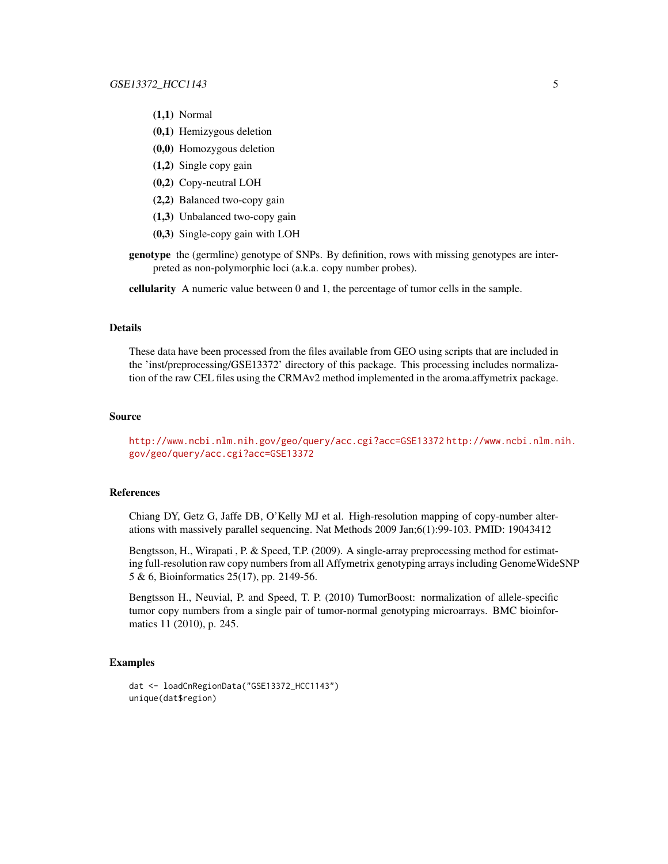- (1,1) Normal
- (0,1) Hemizygous deletion
- (0,0) Homozygous deletion
- (1,2) Single copy gain
- (0,2) Copy-neutral LOH
- (2,2) Balanced two-copy gain
- (1,3) Unbalanced two-copy gain
- (0,3) Single-copy gain with LOH
- genotype the (germline) genotype of SNPs. By definition, rows with missing genotypes are interpreted as non-polymorphic loci (a.k.a. copy number probes).

cellularity A numeric value between 0 and 1, the percentage of tumor cells in the sample.

#### Details

These data have been processed from the files available from GEO using scripts that are included in the 'inst/preprocessing/GSE13372' directory of this package. This processing includes normalization of the raw CEL files using the CRMAv2 method implemented in the aroma.affymetrix package.

#### Source

<http://www.ncbi.nlm.nih.gov/geo/query/acc.cgi?acc=GSE13372> [http://www.ncbi.nlm.n](http://www.ncbi.nlm.nih.gov/geo/query/acc.cgi?acc=GSE13372)ih. [gov/geo/query/acc.cgi?acc=GSE13372](http://www.ncbi.nlm.nih.gov/geo/query/acc.cgi?acc=GSE13372)

# References

Chiang DY, Getz G, Jaffe DB, O'Kelly MJ et al. High-resolution mapping of copy-number alterations with massively parallel sequencing. Nat Methods 2009 Jan;6(1):99-103. PMID: 19043412

Bengtsson, H., Wirapati , P. & Speed, T.P. (2009). A single-array preprocessing method for estimating full-resolution raw copy numbers from all Affymetrix genotyping arrays including GenomeWideSNP 5 & 6, Bioinformatics 25(17), pp. 2149-56.

Bengtsson H., Neuvial, P. and Speed, T. P. (2010) TumorBoost: normalization of allele-specific tumor copy numbers from a single pair of tumor-normal genotyping microarrays. BMC bioinformatics 11 (2010), p. 245.

#### Examples

```
dat <- loadCnRegionData("GSE13372_HCC1143")
unique(dat$region)
```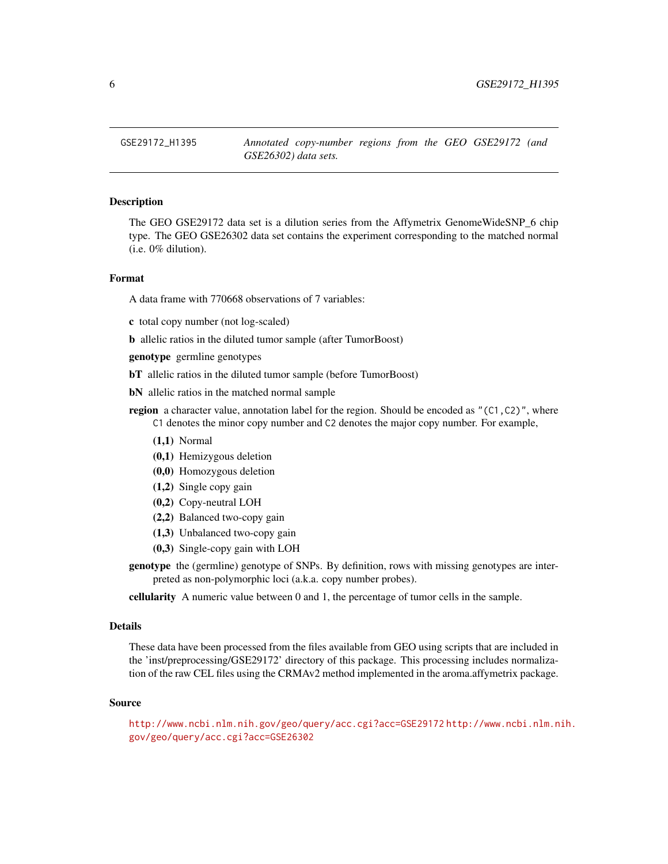<span id="page-5-1"></span><span id="page-5-0"></span>

### **Description**

The GEO GSE29172 data set is a dilution series from the Affymetrix GenomeWideSNP\_6 chip type. The GEO GSE26302 data set contains the experiment corresponding to the matched normal (i.e. 0% dilution).

#### Format

A data frame with 770668 observations of 7 variables:

c total copy number (not log-scaled)

b allelic ratios in the diluted tumor sample (after TumorBoost)

genotype germline genotypes

bT allelic ratios in the diluted tumor sample (before TumorBoost)

bN allelic ratios in the matched normal sample

- region a character value, annotation label for the region. Should be encoded as  $"$  (C1,C2)", where C1 denotes the minor copy number and C2 denotes the major copy number. For example,
	- (1,1) Normal
	- (0,1) Hemizygous deletion
	- (0,0) Homozygous deletion
	- (1,2) Single copy gain
	- (0,2) Copy-neutral LOH
	- (2,2) Balanced two-copy gain
	- (1,3) Unbalanced two-copy gain
	- (0,3) Single-copy gain with LOH
- genotype the (germline) genotype of SNPs. By definition, rows with missing genotypes are interpreted as non-polymorphic loci (a.k.a. copy number probes).

cellularity A numeric value between 0 and 1, the percentage of tumor cells in the sample.

#### Details

These data have been processed from the files available from GEO using scripts that are included in the 'inst/preprocessing/GSE29172' directory of this package. This processing includes normalization of the raw CEL files using the CRMAv2 method implemented in the aroma.affymetrix package.

#### Source

<http://www.ncbi.nlm.nih.gov/geo/query/acc.cgi?acc=GSE29172> [http://www.ncbi.nlm.n](http://www.ncbi.nlm.nih.gov/geo/query/acc.cgi?acc=GSE26302)ih. [gov/geo/query/acc.cgi?acc=GSE26302](http://www.ncbi.nlm.nih.gov/geo/query/acc.cgi?acc=GSE26302)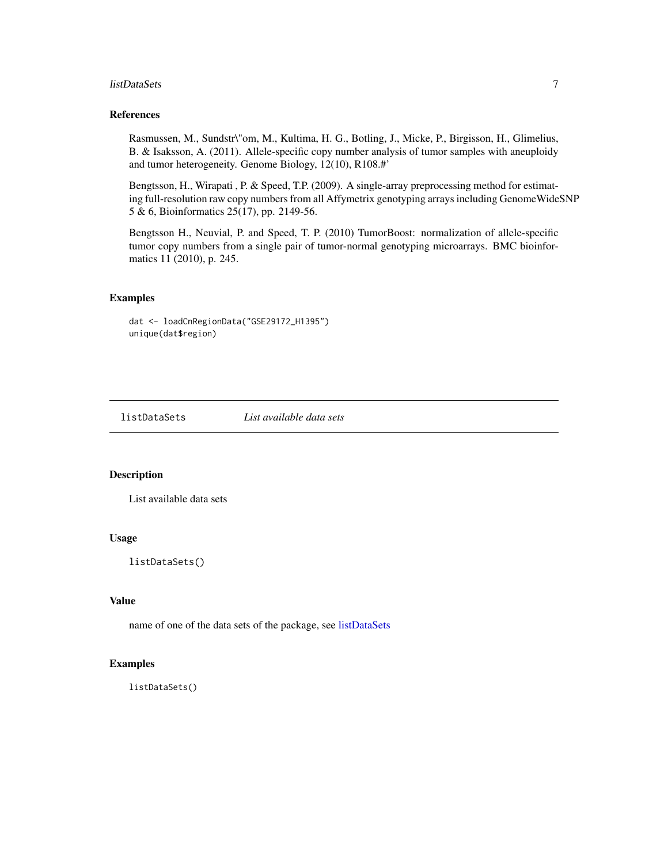#### <span id="page-6-0"></span>listDataSets 7

# References

Rasmussen, M., Sundstr\"om, M., Kultima, H. G., Botling, J., Micke, P., Birgisson, H., Glimelius, B. & Isaksson, A. (2011). Allele-specific copy number analysis of tumor samples with aneuploidy and tumor heterogeneity. Genome Biology, 12(10), R108.#'

Bengtsson, H., Wirapati , P. & Speed, T.P. (2009). A single-array preprocessing method for estimating full-resolution raw copy numbers from all Affymetrix genotyping arrays including GenomeWideSNP 5 & 6, Bioinformatics 25(17), pp. 2149-56.

Bengtsson H., Neuvial, P. and Speed, T. P. (2010) TumorBoost: normalization of allele-specific tumor copy numbers from a single pair of tumor-normal genotyping microarrays. BMC bioinformatics 11 (2010), p. 245.

#### Examples

dat <- loadCnRegionData("GSE29172\_H1395") unique(dat\$region)

<span id="page-6-1"></span>

listDataSets *List available data sets*

# Description

List available data sets

### Usage

listDataSets()

# Value

name of one of the data sets of the package, see [listDataSets](#page-6-1)

#### Examples

listDataSets()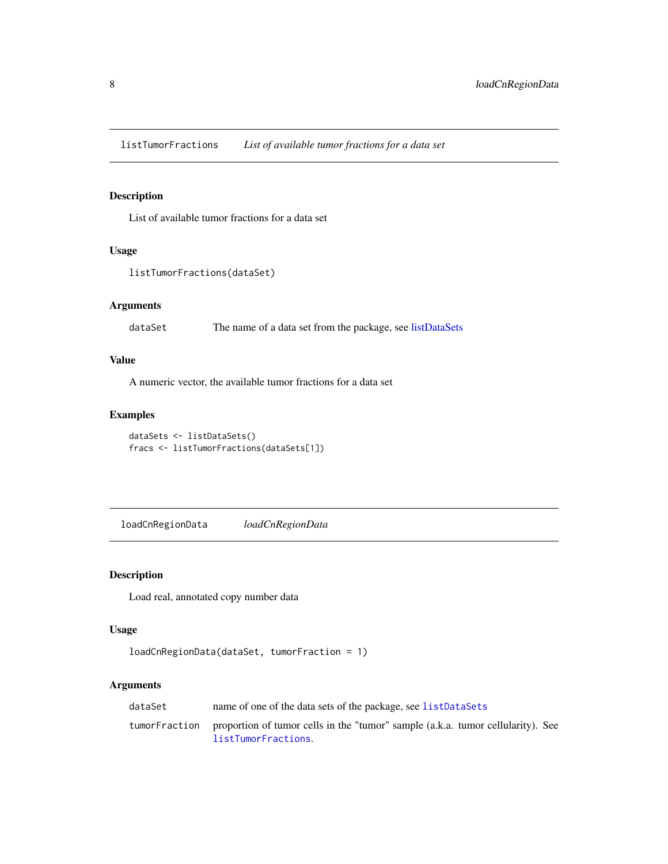<span id="page-7-1"></span><span id="page-7-0"></span>listTumorFractions *List of available tumor fractions for a data set*

# Description

List of available tumor fractions for a data set

# Usage

```
listTumorFractions(dataSet)
```
# Arguments

dataSet The name of a data set from the package, see [listDataSets](#page-6-1)

# Value

A numeric vector, the available tumor fractions for a data set

# Examples

dataSets <- listDataSets() fracs <- listTumorFractions(dataSets[1])

loadCnRegionData *loadCnRegionData*

# Description

Load real, annotated copy number data

# Usage

```
loadCnRegionData(dataSet, tumorFraction = 1)
```
# Arguments

| dataSet       | name of one of the data sets of the package, see listDataSets                                          |
|---------------|--------------------------------------------------------------------------------------------------------|
| tumorFraction | proportion of tumor cells in the "tumor" sample (a.k.a. tumor cellularity). See<br>listTumorFractions. |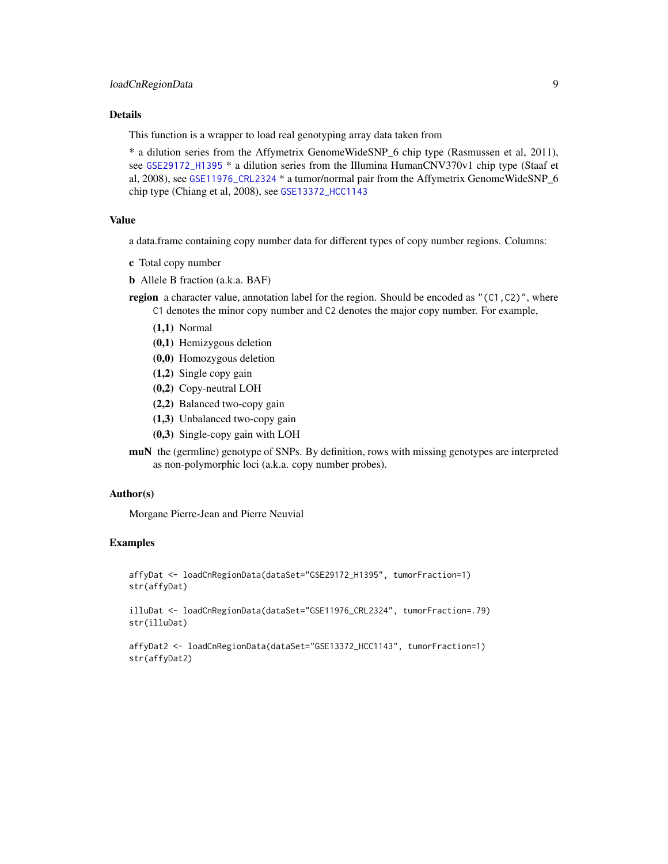# <span id="page-8-0"></span>Details

This function is a wrapper to load real genotyping array data taken from

\* a dilution series from the Affymetrix GenomeWideSNP\_6 chip type (Rasmussen et al, 2011), see [GSE29172\\_H1395](#page-5-1) \* a dilution series from the Illumina HumanCNV370v1 chip type (Staaf et al, 2008), see [GSE11976\\_CRL2324](#page-2-1) \* a tumor/normal pair from the Affymetrix GenomeWideSNP 6 chip type (Chiang et al, 2008), see [GSE13372\\_HCC1143](#page-3-1)

#### Value

a data.frame containing copy number data for different types of copy number regions. Columns:

- c Total copy number
- b Allele B fraction (a.k.a. BAF)

**region** a character value, annotation label for the region. Should be encoded as " $(C1, C2)$ ", where C1 denotes the minor copy number and C2 denotes the major copy number. For example,

- (1,1) Normal
- (0,1) Hemizygous deletion
- (0,0) Homozygous deletion
- (1,2) Single copy gain
- (0,2) Copy-neutral LOH
- (2,2) Balanced two-copy gain
- (1,3) Unbalanced two-copy gain
- (0,3) Single-copy gain with LOH

muN the (germline) genotype of SNPs. By definition, rows with missing genotypes are interpreted as non-polymorphic loci (a.k.a. copy number probes).

### Author(s)

Morgane Pierre-Jean and Pierre Neuvial

# Examples

affyDat <- loadCnRegionData(dataSet="GSE29172\_H1395", tumorFraction=1) str(affyDat)

illuDat <- loadCnRegionData(dataSet="GSE11976\_CRL2324", tumorFraction=.79) str(illuDat)

```
affyDat2 <- loadCnRegionData(dataSet="GSE13372_HCC1143", tumorFraction=1)
str(affyDat2)
```